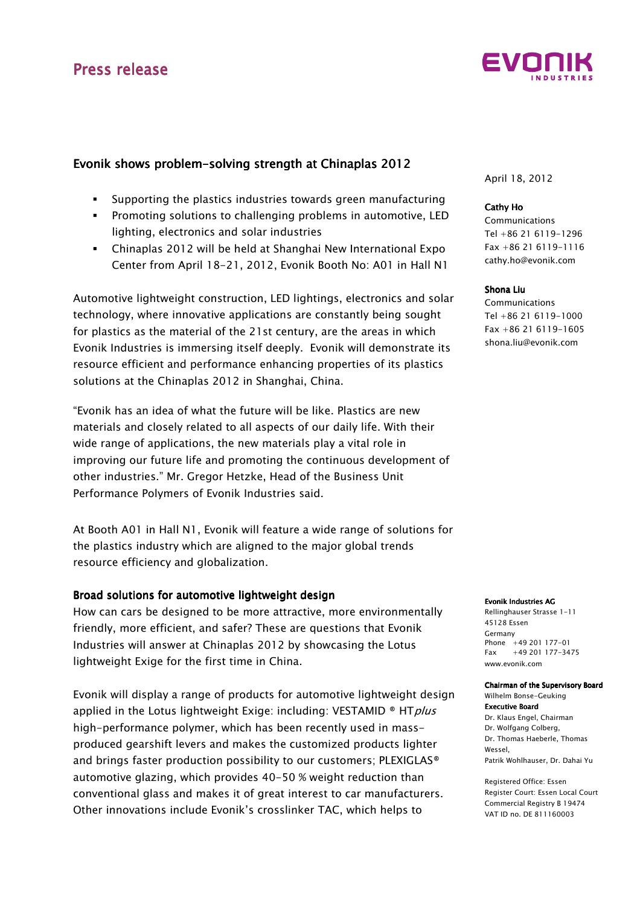

## Evonik shows problem-solving strength at Chinaplas 2012

- Supporting the plastics industries towards green manufacturing
- **Promoting solutions to challenging problems in automotive, LED** lighting, electronics and solar industries
- Chinaplas 2012 will be held at Shanghai New International Expo Center from April 18-21, 2012, Evonik Booth No: A01 in Hall N1

Automotive lightweight construction, LED lightings, electronics and solar technology, where innovative applications are constantly being sought for plastics as the material of the 21st century, are the areas in which Evonik Industries is immersing itself deeply. Evonik will demonstrate its resource efficient and performance enhancing properties of its plastics solutions at the Chinaplas 2012 in Shanghai, China.

"Evonik has an idea of what the future will be like. Plastics are new materials and closely related to all aspects of our daily life. With their wide range of applications, the new materials play a vital role in improving our future life and promoting the continuous development of other industries." Mr. Gregor Hetzke, Head of the Business Unit Performance Polymers of Evonik Industries said.

At Booth A01 in Hall N1, Evonik will feature a wide range of solutions for the plastics industry which are aligned to the major global trends resource efficiency and globalization.

### Broad solutions for automotive lightweight design

How can cars be designed to be more attractive, more environmentally friendly, more efficient, and safer? These are questions that Evonik Industries will answer at Chinaplas 2012 by showcasing the Lotus lightweight Exige for the first time in China.

Evonik will display a range of products for automotive lightweight design applied in the Lotus lightweight Exige: including: VESTAMID ® HTplus high-performance polymer, which has been recently used in massproduced gearshift levers and makes the customized products lighter and brings faster production possibility to our customers; PLEXIGLAS<sup>®</sup> automotive glazing, which provides 40-50 % weight reduction than conventional glass and makes it of great interest to car manufacturers. Other innovations include Evonik's crosslinker TAC, which helps to

April 18, 2012

#### Cathy Ho

Communications Tel +86 21 6119-1296 Fax +86 21 6119-1116 cathy.ho@evonik.com

#### Shona Liu

**Communications** Tel +86 21 6119-1000 Fax +86 21 6119-1605 shona.liu@evonik.com

#### Evonik Industries AG

Rellinghauser Strasse 1-11 45128 Essen Germany Phone +49 201 177-01 Fax +49 201 177-3475 www.evonik.com

Chairman of the Supervisory Board Wilhelm Bonse-Geuking **Executive Board** 

Dr. Klaus Engel, Chairman Dr. Wolfgang Colberg, Dr. Thomas Haeberle, Thomas Wessel, Patrik Wohlhauser, Dr. Dahai Yu

Registered Office: Essen Register Court: Essen Local Court Commercial Registry B 19474 VAT ID no. DE 811160003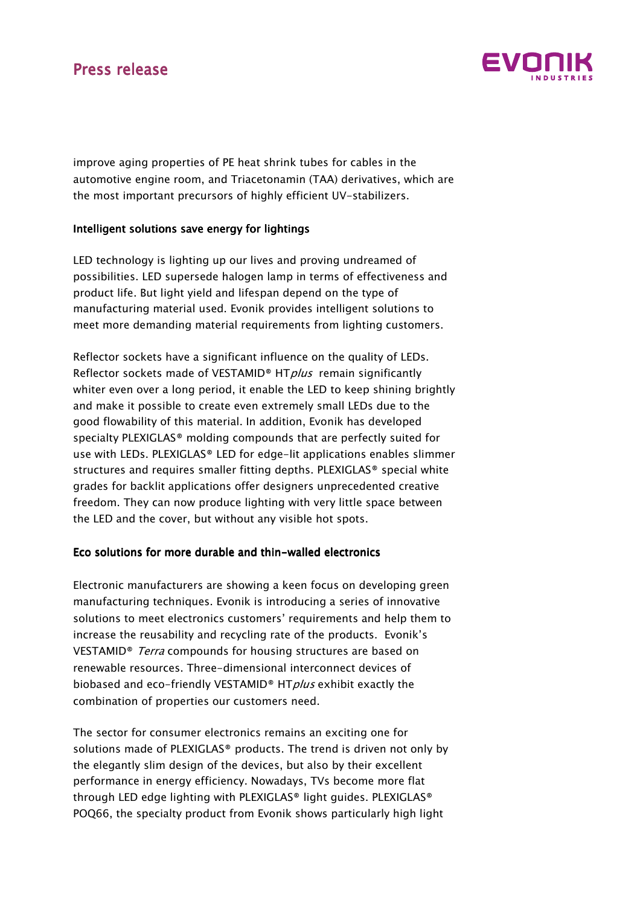# Press release



improve aging properties of PE heat shrink tubes for cables in the automotive engine room, and Triacetonamin (TAA) derivatives, which are the most important precursors of highly efficient UV-stabilizers.

### Intelligent solutions save energy for lightings

LED technology is lighting up our lives and proving undreamed of possibilities. LED supersede halogen lamp in terms of effectiveness and product life. But light yield and lifespan depend on the type of manufacturing material used. Evonik provides intelligent solutions to meet more demanding material requirements from lighting customers.

Reflector sockets have a significant influence on the quality of LEDs. Reflector sockets made of VESTAMID<sup>®</sup> HT*plus* remain significantly whiter even over a long period, it enable the LED to keep shining brightly and make it possible to create even extremely small LEDs due to the good flowability of this material. In addition, Evonik has developed specialty PLEXIGLAS® molding compounds that are perfectly suited for use with LEDs. PLEXIGLAS® LED for edge-lit applications enables slimmer structures and requires smaller fitting depths. PLEXIGLAS® special white grades for backlit applications offer designers unprecedented creative freedom. They can now produce lighting with very little space between the LED and the cover, but without any visible hot spots.

### Eco solutions for more durable and thin-walled electronics

Electronic manufacturers are showing a keen focus on developing green manufacturing techniques. Evonik is introducing a series of innovative solutions to meet electronics customers' requirements and help them to increase the reusability and recycling rate of the products. Evonik's VESTAMID<sup>®</sup> Terra compounds for housing structures are based on renewable resources. Three-dimensional interconnect devices of biobased and eco-friendly VESTAMID® HTplus exhibit exactly the combination of properties our customers need.

The sector for consumer electronics remains an exciting one for solutions made of PLEXIGLAS® products. The trend is driven not only by the elegantly slim design of the devices, but also by their excellent performance in energy efficiency. Nowadays, TVs become more flat through LED edge lighting with PLEXIGLAS® light guides. PLEXIGLAS® POQ66, the specialty product from Evonik shows particularly high light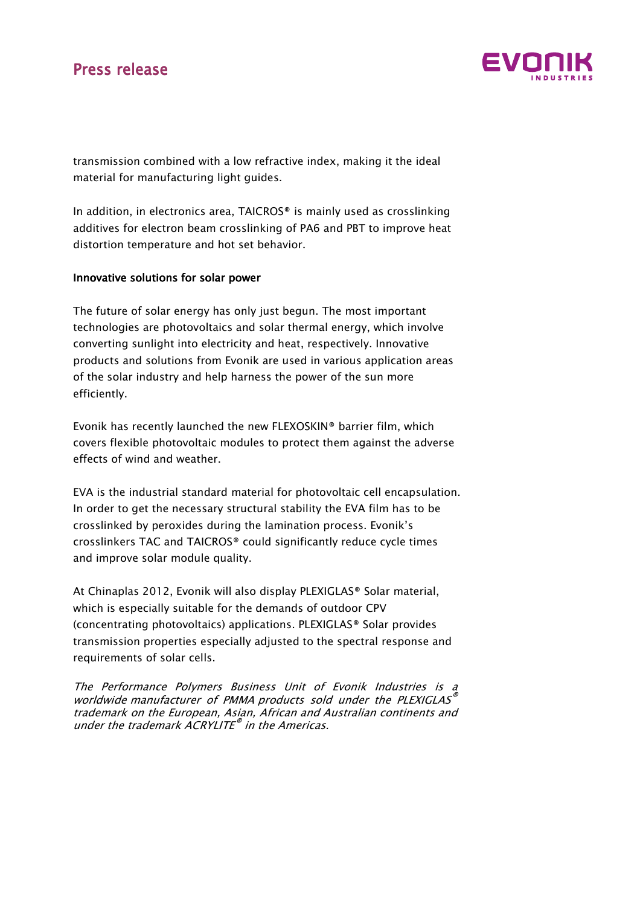# Press release



transmission combined with a low refractive index, making it the ideal material for manufacturing light guides.

In addition, in electronics area, TAICROS® is mainly used as crosslinking additives for electron beam crosslinking of PA6 and PBT to improve heat distortion temperature and hot set behavior.

### Innovative solutions for solar power

The future of solar energy has only just begun. The most important technologies are photovoltaics and solar thermal energy, which involve converting sunlight into electricity and heat, respectively. Innovative products and solutions from Evonik are used in various application areas of the solar industry and help harness the power of the sun more efficiently.

Evonik has recently launched the new FLEXOSKIN® barrier film, which covers flexible photovoltaic modules to protect them against the adverse effects of wind and weather.

EVA is the industrial standard material for photovoltaic cell encapsulation. In order to get the necessary structural stability the EVA film has to be crosslinked by peroxides during the lamination process. Evonik's crosslinkers TAC and TAICROS® could significantly reduce cycle times and improve solar module quality.

At Chinaplas 2012, Evonik will also display PLEXIGLAS® Solar material, which is especially suitable for the demands of outdoor CPV (concentrating photovoltaics) applications. PLEXIGLAS® Solar provides transmission properties especially adjusted to the spectral response and requirements of solar cells.

The Performance Polymers Business Unit of Evonik Industries is a worldwide manufacturer of PMMA products sold under the PLEXIGLAS® trademark on the European, Asian, African and Australian continents and under the trademark ACRYLITE® in the Americas.